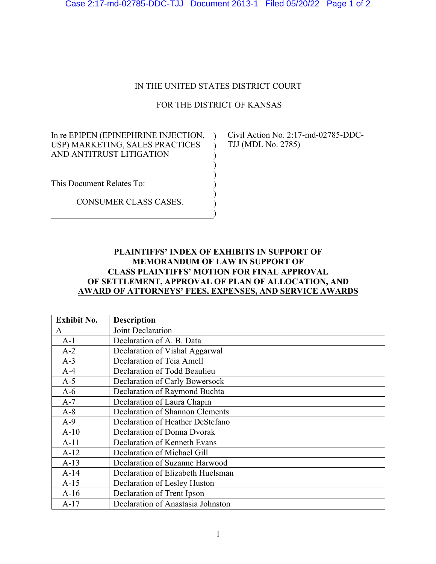Case 2:17-md-02785-DDC-TJJ Document 2613-1 Filed 05/20/22 Page 1 of 2

## IN THE UNITED STATES DISTRICT COURT

## FOR THE DISTRICT OF KANSAS

 $\mathcal{L}$ ) ) ) ) ) ) )

In re EPIPEN (EPINEPHRINE INJECTION, ) Civil Action No. 2:17-md-02785-DDC-USP) MARKETING, SALES PRACTICES AND ANTITRUST LITIGATION

TJJ (MDL No. 2785)

This Document Relates To:

CONSUMER CLASS CASES.

## **PLAINTIFFS' INDEX OF EXHIBITS IN SUPPORT OF MEMORANDUM OF LAW IN SUPPORT OF CLASS PLAINTIFFS' MOTION FOR FINAL APPROVAL OF SETTLEMENT, APPROVAL OF PLAN OF ALLOCATION, AND AWARD OF ATTORNEYS' FEES, EXPENSES, AND SERVICE AWARDS**

| <b>Exhibit No.</b> | <b>Description</b>                     |
|--------------------|----------------------------------------|
| A                  | Joint Declaration                      |
| $A-1$              | Declaration of A. B. Data              |
| $A-2$              | Declaration of Vishal Aggarwal         |
| $A-3$              | Declaration of Teia Amell              |
| $A-4$              | Declaration of Todd Beaulieu           |
| $A-5$              | Declaration of Carly Bowersock         |
| $A-6$              | Declaration of Raymond Buchta          |
| $A-7$              | Declaration of Laura Chapin            |
| $A-8$              | <b>Declaration of Shannon Clements</b> |
| $A-9$              | Declaration of Heather DeStefano       |
| $A-10$             | Declaration of Donna Dvorak            |
| $A-11$             | Declaration of Kenneth Evans           |
| $A-12$             | Declaration of Michael Gill            |
| $A-13$             | Declaration of Suzanne Harwood         |
| $A-14$             | Declaration of Elizabeth Huelsman      |
| $A-15$             | Declaration of Lesley Huston           |
| $A-16$             | Declaration of Trent Ipson             |
| $A-17$             | Declaration of Anastasia Johnston      |